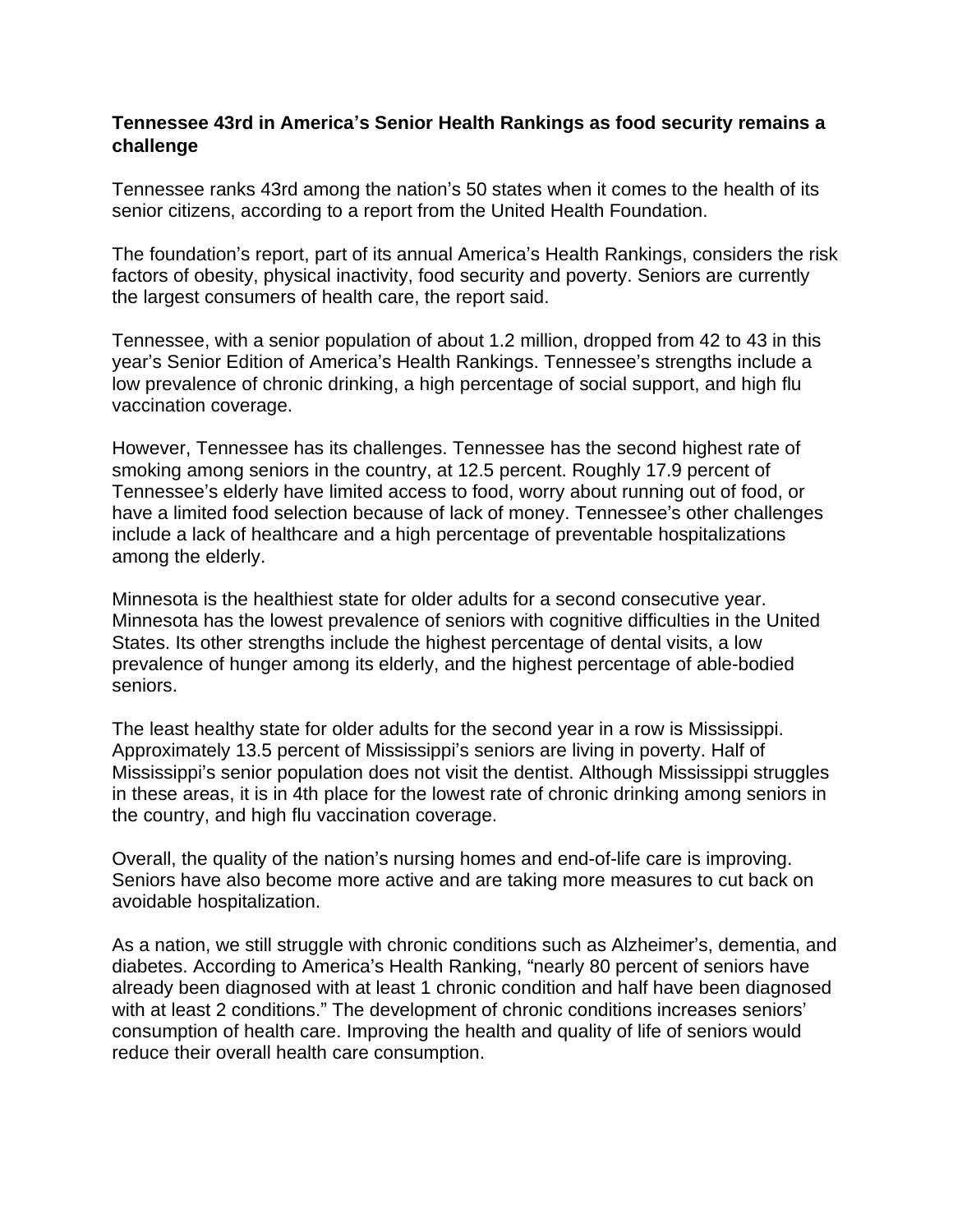## **Tennessee 43rd in America's Senior Health Rankings as food security remains a challenge**

Tennessee ranks 43rd among the nation's 50 states when it comes to the health of its senior citizens, according to a report from the United Health Foundation.

The foundation's report, part of its annual America's Health Rankings, considers the risk factors of obesity, physical inactivity, food security and poverty. Seniors are currently the largest consumers of health care, the report said.

Tennessee, with a senior population of about 1.2 million, dropped from 42 to 43 in this year's Senior Edition of America's Health Rankings. Tennessee's strengths include a low prevalence of chronic drinking, a high percentage of social support, and high flu vaccination coverage.

However, Tennessee has its challenges. Tennessee has the second highest rate of smoking among seniors in the country, at 12.5 percent. Roughly 17.9 percent of Tennessee's elderly have limited access to food, worry about running out of food, or have a limited food selection because of lack of money. Tennessee's other challenges include a lack of healthcare and a high percentage of preventable hospitalizations among the elderly.

Minnesota is the healthiest state for older adults for a second consecutive year. Minnesota has the lowest prevalence of seniors with cognitive difficulties in the United States. Its other strengths include the highest percentage of dental visits, a low prevalence of hunger among its elderly, and the highest percentage of able-bodied seniors.

The least healthy state for older adults for the second year in a row is Mississippi. Approximately 13.5 percent of Mississippi's seniors are living in poverty. Half of Mississippi's senior population does not visit the dentist. Although Mississippi struggles in these areas, it is in 4th place for the lowest rate of chronic drinking among seniors in the country, and high flu vaccination coverage.

Overall, the quality of the nation's nursing homes and end-of-life care is improving. Seniors have also become more active and are taking more measures to cut back on avoidable hospitalization.

As a nation, we still struggle with chronic conditions such as Alzheimer's, dementia, and diabetes. According to America's Health Ranking, "nearly 80 percent of seniors have already been diagnosed with at least 1 chronic condition and half have been diagnosed with at least 2 conditions." The development of chronic conditions increases seniors' consumption of health care. Improving the health and quality of life of seniors would reduce their overall health care consumption.